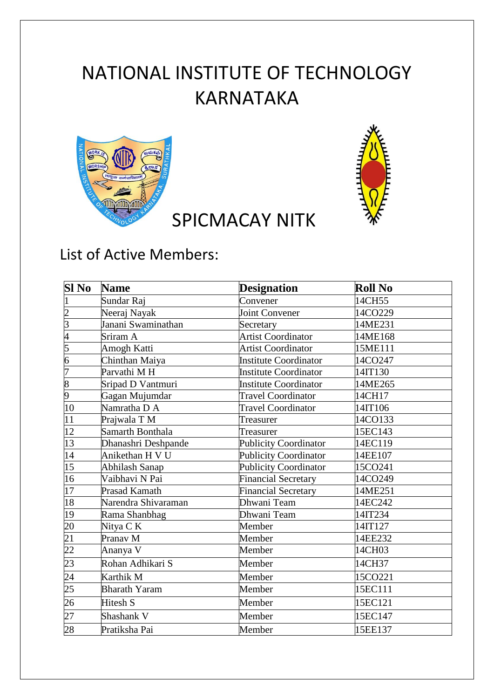## NATIONAL INSTITUTE OF TECHNOLOGY KARNATAKA





## List of Active Members:

| Sl No           | <b>Name</b>          | <b>Designation</b>           | <b>Roll No</b> |
|-----------------|----------------------|------------------------------|----------------|
| 1               | Sundar Raj           | Convener                     | 14CH55         |
|                 | Neeraj Nayak         | <b>Joint Convener</b>        | 14CO229        |
| $\frac{2}{3}$   | Janani Swaminathan   | Secretary                    | 14ME231        |
| $\overline{4}$  | Sriram A             | <b>Artist Coordinator</b>    | 14ME168        |
| $\overline{5}$  | Amogh Katti          | <b>Artist Coordinator</b>    | 15ME111        |
| $\overline{6}$  | Chinthan Maiya       | <b>Institute Coordinator</b> | 14CO247        |
| 7               | Parvathi M H         | Institute Coordinator        | 14IT130        |
| $\frac{8}{9}$   | Sripad D Vantmuri    | <b>Institute Coordinator</b> | 14ME265        |
|                 | Gagan Mujumdar       | <b>Travel Coordinator</b>    | 14CH17         |
| 10              | Namratha D A         | <b>Travel Coordinator</b>    | 14IT106        |
| 11              | Prajwala T M         | Treasurer                    | 14CO133        |
| 12              | Samarth Bonthala     | Treasurer                    | 15EC143        |
| 13              | Dhanashri Deshpande  | <b>Publicity Coordinator</b> | 14EC119        |
| 14              | Anikethan H V U      | <b>Publicity Coordinator</b> | 14EE107        |
| 15              | Abhilash Sanap       | <b>Publicity Coordinator</b> | 15CO241        |
| 16              | Vaibhavi N Pai       | <b>Financial Secretary</b>   | 14CO249        |
| 17              | Prasad Kamath        | <b>Financial Secretary</b>   | 14ME251        |
| 18              | Narendra Shivaraman  | Dhwani Team                  | 14EC242        |
| 19              | Rama Shanbhag        | Dhwani Team                  | 14IT234        |
| 20              | Nitya C K            | Member                       | 14IT127        |
| $\overline{21}$ | Pranav M             | Member                       | 14EE232        |
| 22              | Ananya V             | Member                       | 14CH03         |
| 23              | Rohan Adhikari S     | Member                       | 14CH37         |
| 24              | Karthik M            | Member                       | 15CO221        |
| $\overline{25}$ | <b>Bharath Yaram</b> | Member                       | 15EC111        |
| $\overline{26}$ | Hitesh S             | Member                       | 15EC121        |
| 27              | Shashank V           | Member                       | 15EC147        |
| 28              | Pratiksha Pai        | Member                       | 15EE137        |